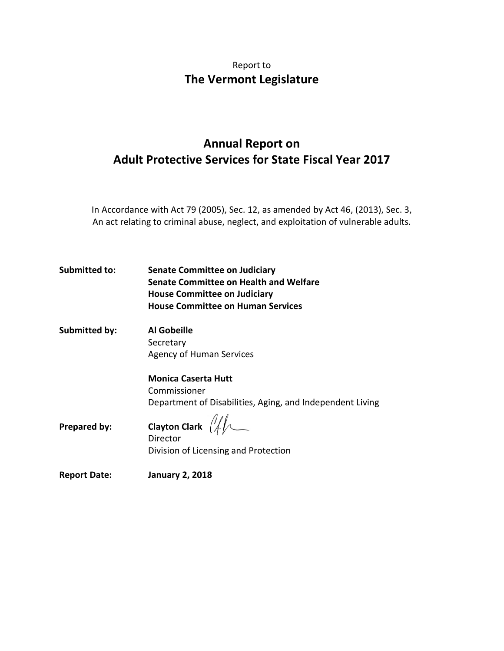# Report to **The Vermont Legislature**

# **Annual Report on Adult Protective Services for State Fiscal Year 2017**

In Accordance with Act 79 (2005), Sec. 12, as amended by Act 46, (2013), Sec. 3, An act relating to criminal abuse, neglect, and exploitation of vulnerable adults.

**Submitted to: Senate Committee on Judiciary Senate Committee on Health and Welfare House Committee on Judiciary House Committee on Human Services** 

**Submitted by: Al Gobeille** Secretary Agency of Human Services

> **Monica Caserta Hutt** Commissioner Department of Disabilities, Aging, and Independent Living

**Prepared by:** Clayton Clark  $\left(\frac{1}{4}\right)$ Director Division of Licensing and Protection

**Report Date: January 2, 2018**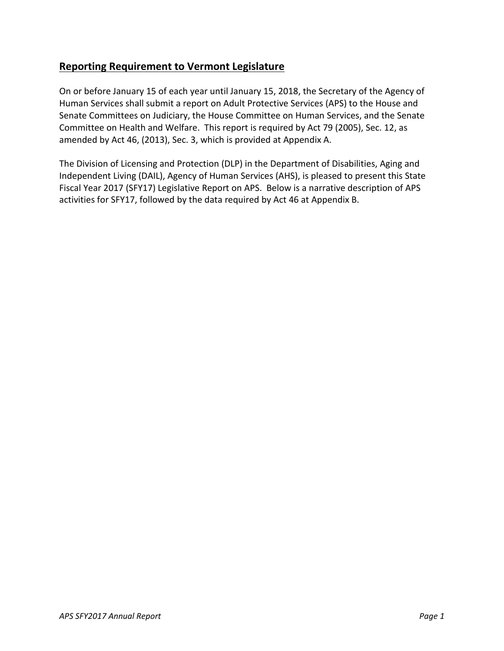### **Reporting Requirement to Vermont Legislature**

On or before January 15 of each year until January 15, 2018, the Secretary of the Agency of Human Services shall submit a report on Adult Protective Services (APS) to the House and Senate Committees on Judiciary, the House Committee on Human Services, and the Senate Committee on Health and Welfare. This report is required by Act 79 (2005), Sec. 12, as amended by Act 46, (2013), Sec. 3, which is provided at Appendix A.

The Division of Licensing and Protection (DLP) in the Department of Disabilities, Aging and Independent Living (DAIL), Agency of Human Services (AHS), is pleased to present this State Fiscal Year 2017 (SFY17) Legislative Report on APS. Below is a narrative description of APS activities for SFY17, followed by the data required by Act 46 at Appendix B.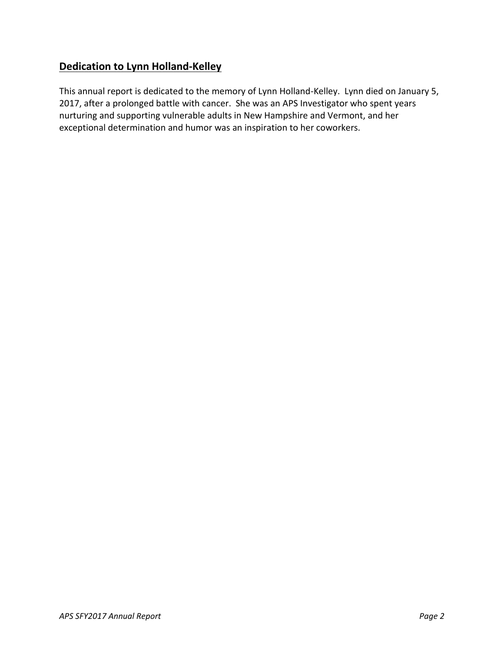# **Dedication to Lynn Holland-Kelley**

This annual report is dedicated to the memory of Lynn Holland-Kelley. Lynn died on January 5, 2017, after a prolonged battle with cancer. She was an APS Investigator who spent years nurturing and supporting vulnerable adults in New Hampshire and Vermont, and her exceptional determination and humor was an inspiration to her coworkers.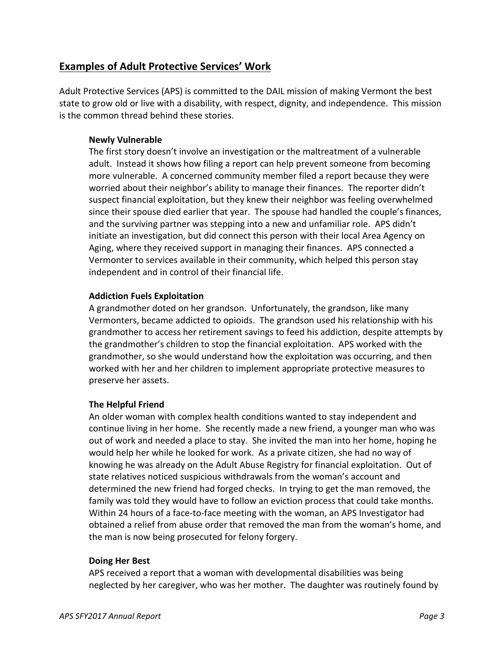### **Examples of Adult Protective Services' Work**

Adult Protective Services (APS) is committed to the DAIL mission of making Vermont the best state to grow old or live with a disability, with respect, dignity, and independence. This mission is the common thread behind these stories.

#### **Newly Vulnerable**

The first story doesn't involve an investigation or the maltreatment of a vulnerable adult. Instead it shows how filing a report can help prevent someone from becoming more vulnerable. A concerned community member filed a report because they were worried about their neighbor's ability to manage their finances. The reporter didn't suspect financial exploitation, but they knew their neighbor was feeling overwhelmed since their spouse died earlier that year. The spouse had handled the couple's finances, and the surviving partner was stepping into a new and unfamiliar role. APS didn't initiate an investigation, but did connect this person with their local Area Agency on Aging, where they received support in managing their finances. APS connected a Vermonter to services available in their community, which helped this person stay independent and in control of their financial life.

#### **Addiction Fuels Exploitation**

A grandmother doted on her grandson. Unfortunately, the grandson, like many Vermonters, became addicted to opioids. The grandson used his relationship with his grandmother to access her retirement savings to feed his addiction, despite attempts by the grandmother's children to stop the financial exploitation. APS worked with the grandmother, so she would understand how the exploitation was occurring, and then worked with her and her children to implement appropriate protective measures to preserve her assets.

#### **The Helpful Friend**

An older woman with complex health conditions wanted to stay independent and continue living in her home. She recently made a new friend, a younger man who was out of work and needed a place to stay. She invited the man into her home, hoping he would help her while he looked for work. As a private citizen, she had no way of knowing he was already on the Adult Abuse Registry for financial exploitation. Out of state relatives noticed suspicious withdrawals from the woman's account and determined the new friend had forged checks. In trying to get the man removed, the family was told they would have to follow an eviction process that could take months. Within 24 hours of a face-to-face meeting with the woman, an APS Investigator had obtained a relief from abuse order that removed the man from the woman's home, and the man is now being prosecuted for felony forgery.

#### **Doing Her Best**

APS received a report that a woman with developmental disabilities was being neglected by her caregiver, who was her mother. The daughter was routinely found by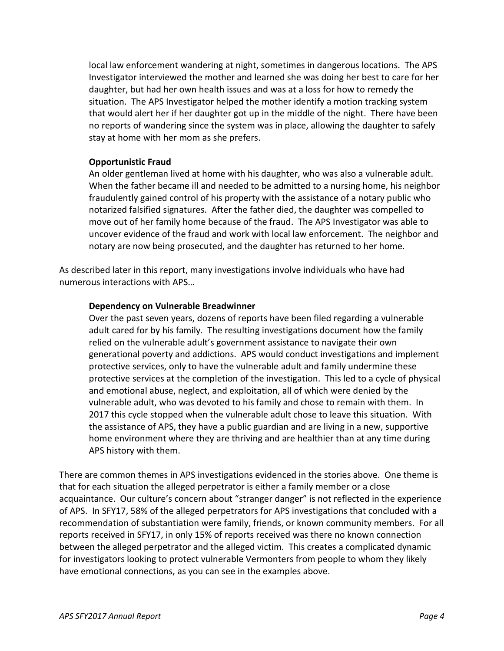local law enforcement wandering at night, sometimes in dangerous locations. The APS Investigator interviewed the mother and learned she was doing her best to care for her daughter, but had her own health issues and was at a loss for how to remedy the situation. The APS Investigator helped the mother identify a motion tracking system that would alert her if her daughter got up in the middle of the night. There have been no reports of wandering since the system was in place, allowing the daughter to safely stay at home with her mom as she prefers.

#### **Opportunistic Fraud**

An older gentleman lived at home with his daughter, who was also a vulnerable adult. When the father became ill and needed to be admitted to a nursing home, his neighbor fraudulently gained control of his property with the assistance of a notary public who notarized falsified signatures. After the father died, the daughter was compelled to move out of her family home because of the fraud. The APS Investigator was able to uncover evidence of the fraud and work with local law enforcement. The neighbor and notary are now being prosecuted, and the daughter has returned to her home.

As described later in this report, many investigations involve individuals who have had numerous interactions with APS…

#### **Dependency on Vulnerable Breadwinner**

Over the past seven years, dozens of reports have been filed regarding a vulnerable adult cared for by his family. The resulting investigations document how the family relied on the vulnerable adult's government assistance to navigate their own generational poverty and addictions. APS would conduct investigations and implement protective services, only to have the vulnerable adult and family undermine these protective services at the completion of the investigation. This led to a cycle of physical and emotional abuse, neglect, and exploitation, all of which were denied by the vulnerable adult, who was devoted to his family and chose to remain with them. In 2017 this cycle stopped when the vulnerable adult chose to leave this situation. With the assistance of APS, they have a public guardian and are living in a new, supportive home environment where they are thriving and are healthier than at any time during APS history with them.

There are common themes in APS investigations evidenced in the stories above. One theme is that for each situation the alleged perpetrator is either a family member or a close acquaintance. Our culture's concern about "stranger danger" is not reflected in the experience of APS. In SFY17, 58% of the alleged perpetrators for APS investigations that concluded with a recommendation of substantiation were family, friends, or known community members. For all reports received in SFY17, in only 15% of reports received was there no known connection between the alleged perpetrator and the alleged victim. This creates a complicated dynamic for investigators looking to protect vulnerable Vermonters from people to whom they likely have emotional connections, as you can see in the examples above.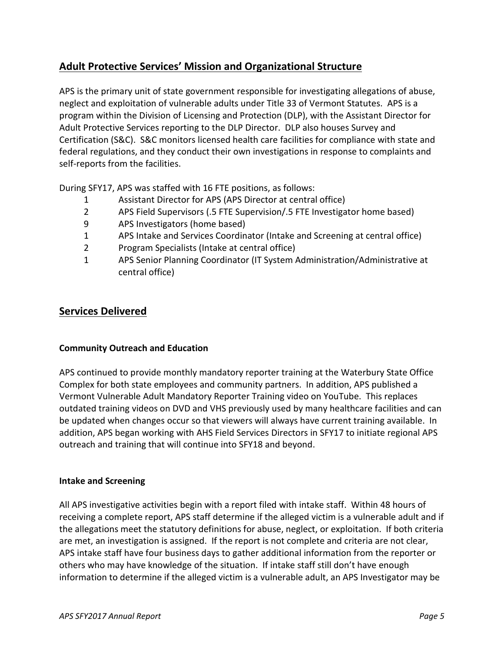## **Adult Protective Services' Mission and Organizational Structure**

APS is the primary unit of state government responsible for investigating allegations of abuse, neglect and exploitation of vulnerable adults under Title 33 of Vermont Statutes. APS is a program within the Division of Licensing and Protection (DLP), with the Assistant Director for Adult Protective Services reporting to the DLP Director. DLP also houses Survey and Certification (S&C). S&C monitors licensed health care facilities for compliance with state and federal regulations, and they conduct their own investigations in response to complaints and self-reports from the facilities.

During SFY17, APS was staffed with 16 FTE positions, as follows:

- 1 Assistant Director for APS (APS Director at central office)
- 2 APS Field Supervisors (.5 FTE Supervision/.5 FTE Investigator home based)
- 9 APS Investigators (home based)
- 1 APS Intake and Services Coordinator (Intake and Screening at central office)
- 2 Program Specialists (Intake at central office)
- 1 APS Senior Planning Coordinator (IT System Administration/Administrative at central office)

### **Services Delivered**

#### **Community Outreach and Education**

APS continued to provide monthly mandatory reporter training at the Waterbury State Office Complex for both state employees and community partners. In addition, APS published a Vermont Vulnerable Adult Mandatory Reporter Training video on YouTube. This replaces outdated training videos on DVD and VHS previously used by many healthcare facilities and can be updated when changes occur so that viewers will always have current training available. In addition, APS began working with AHS Field Services Directors in SFY17 to initiate regional APS outreach and training that will continue into SFY18 and beyond.

#### **Intake and Screening**

All APS investigative activities begin with a report filed with intake staff. Within 48 hours of receiving a complete report, APS staff determine if the alleged victim is a vulnerable adult and if the allegations meet the statutory definitions for abuse, neglect, or exploitation. If both criteria are met, an investigation is assigned. If the report is not complete and criteria are not clear, APS intake staff have four business days to gather additional information from the reporter or others who may have knowledge of the situation. If intake staff still don't have enough information to determine if the alleged victim is a vulnerable adult, an APS Investigator may be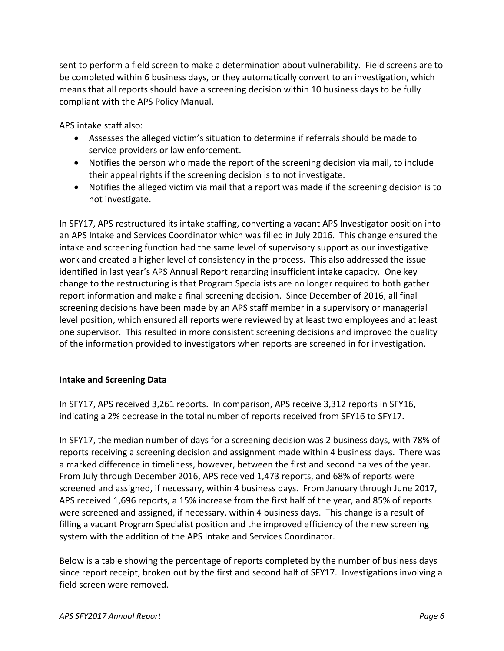sent to perform a field screen to make a determination about vulnerability. Field screens are to be completed within 6 business days, or they automatically convert to an investigation, which means that all reports should have a screening decision within 10 business days to be fully compliant with the APS Policy Manual.

APS intake staff also:

- Assesses the alleged victim's situation to determine if referrals should be made to service providers or law enforcement.
- Notifies the person who made the report of the screening decision via mail, to include their appeal rights if the screening decision is to not investigate.
- Notifies the alleged victim via mail that a report was made if the screening decision is to not investigate.

In SFY17, APS restructured its intake staffing, converting a vacant APS Investigator position into an APS Intake and Services Coordinator which was filled in July 2016. This change ensured the intake and screening function had the same level of supervisory support as our investigative work and created a higher level of consistency in the process. This also addressed the issue identified in last year's APS Annual Report regarding insufficient intake capacity. One key change to the restructuring is that Program Specialists are no longer required to both gather report information and make a final screening decision. Since December of 2016, all final screening decisions have been made by an APS staff member in a supervisory or managerial level position, which ensured all reports were reviewed by at least two employees and at least one supervisor. This resulted in more consistent screening decisions and improved the quality of the information provided to investigators when reports are screened in for investigation.

#### **Intake and Screening Data**

In SFY17, APS received 3,261 reports. In comparison, APS receive 3,312 reports in SFY16, indicating a 2% decrease in the total number of reports received from SFY16 to SFY17.

In SFY17, the median number of days for a screening decision was 2 business days, with 78% of reports receiving a screening decision and assignment made within 4 business days. There was a marked difference in timeliness, however, between the first and second halves of the year. From July through December 2016, APS received 1,473 reports, and 68% of reports were screened and assigned, if necessary, within 4 business days. From January through June 2017, APS received 1,696 reports, a 15% increase from the first half of the year, and 85% of reports were screened and assigned, if necessary, within 4 business days. This change is a result of filling a vacant Program Specialist position and the improved efficiency of the new screening system with the addition of the APS Intake and Services Coordinator.

Below is a table showing the percentage of reports completed by the number of business days since report receipt, broken out by the first and second half of SFY17. Investigations involving a field screen were removed.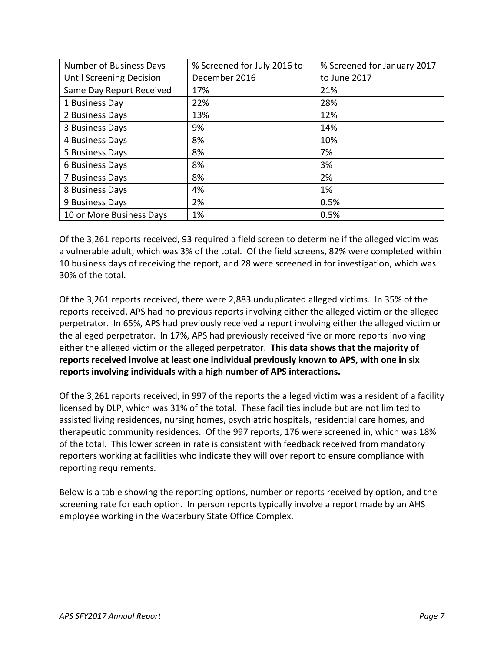| Number of Business Days         | % Screened for July 2016 to | % Screened for January 2017 |
|---------------------------------|-----------------------------|-----------------------------|
| <b>Until Screening Decision</b> | December 2016               | to June 2017                |
| Same Day Report Received        | 17%                         | 21%                         |
| 1 Business Day                  | 22%                         | 28%                         |
| 2 Business Days                 | 13%                         | 12%                         |
| 3 Business Days                 | 9%                          | 14%                         |
| 4 Business Days                 | 8%                          | 10%                         |
| 5 Business Days                 | 8%                          | 7%                          |
| 6 Business Days                 | 8%                          | 3%                          |
| 7 Business Days                 | 8%                          | 2%                          |
| 8 Business Days                 | 4%                          | 1%                          |
| 9 Business Days                 | 2%                          | 0.5%                        |
| 10 or More Business Days        | 1%                          | 0.5%                        |

Of the 3,261 reports received, 93 required a field screen to determine if the alleged victim was a vulnerable adult, which was 3% of the total. Of the field screens, 82% were completed within 10 business days of receiving the report, and 28 were screened in for investigation, which was 30% of the total.

Of the 3,261 reports received, there were 2,883 unduplicated alleged victims. In 35% of the reports received, APS had no previous reports involving either the alleged victim or the alleged perpetrator. In 65%, APS had previously received a report involving either the alleged victim or the alleged perpetrator. In 17%, APS had previously received five or more reports involving either the alleged victim or the alleged perpetrator. **This data shows that the majority of reports received involve at least one individual previously known to APS, with one in six reports involving individuals with a high number of APS interactions.**

Of the 3,261 reports received, in 997 of the reports the alleged victim was a resident of a facility licensed by DLP, which was 31% of the total. These facilities include but are not limited to assisted living residences, nursing homes, psychiatric hospitals, residential care homes, and therapeutic community residences. Of the 997 reports, 176 were screened in, which was 18% of the total. This lower screen in rate is consistent with feedback received from mandatory reporters working at facilities who indicate they will over report to ensure compliance with reporting requirements.

Below is a table showing the reporting options, number or reports received by option, and the screening rate for each option. In person reports typically involve a report made by an AHS employee working in the Waterbury State Office Complex.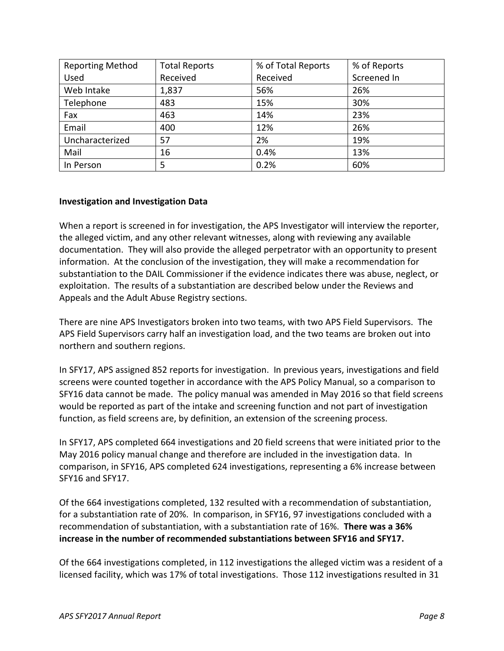| <b>Reporting Method</b> | <b>Total Reports</b> | % of Total Reports | % of Reports |
|-------------------------|----------------------|--------------------|--------------|
| Used                    | Received             | Received           | Screened In  |
| Web Intake              | 1,837                | 56%                | 26%          |
| Telephone               | 483                  | 15%                | 30%          |
| Fax                     | 463                  | 14%                | 23%          |
| Email                   | 400                  | 12%                | 26%          |
| Uncharacterized         | 57                   | 2%                 | 19%          |
| Mail                    | 16                   | 0.4%               | 13%          |
| In Person               | 5                    | 0.2%               | 60%          |

#### **Investigation and Investigation Data**

When a report is screened in for investigation, the APS Investigator will interview the reporter, the alleged victim, and any other relevant witnesses, along with reviewing any available documentation. They will also provide the alleged perpetrator with an opportunity to present information. At the conclusion of the investigation, they will make a recommendation for substantiation to the DAIL Commissioner if the evidence indicates there was abuse, neglect, or exploitation. The results of a substantiation are described below under the Reviews and Appeals and the Adult Abuse Registry sections.

There are nine APS Investigators broken into two teams, with two APS Field Supervisors. The APS Field Supervisors carry half an investigation load, and the two teams are broken out into northern and southern regions.

In SFY17, APS assigned 852 reports for investigation. In previous years, investigations and field screens were counted together in accordance with the APS Policy Manual, so a comparison to SFY16 data cannot be made. The policy manual was amended in May 2016 so that field screens would be reported as part of the intake and screening function and not part of investigation function, as field screens are, by definition, an extension of the screening process.

In SFY17, APS completed 664 investigations and 20 field screens that were initiated prior to the May 2016 policy manual change and therefore are included in the investigation data. In comparison, in SFY16, APS completed 624 investigations, representing a 6% increase between SFY16 and SFY17.

Of the 664 investigations completed, 132 resulted with a recommendation of substantiation, for a substantiation rate of 20%. In comparison, in SFY16, 97 investigations concluded with a recommendation of substantiation, with a substantiation rate of 16%. **There was a 36% increase in the number of recommended substantiations between SFY16 and SFY17.**

Of the 664 investigations completed, in 112 investigations the alleged victim was a resident of a licensed facility, which was 17% of total investigations. Those 112 investigations resulted in 31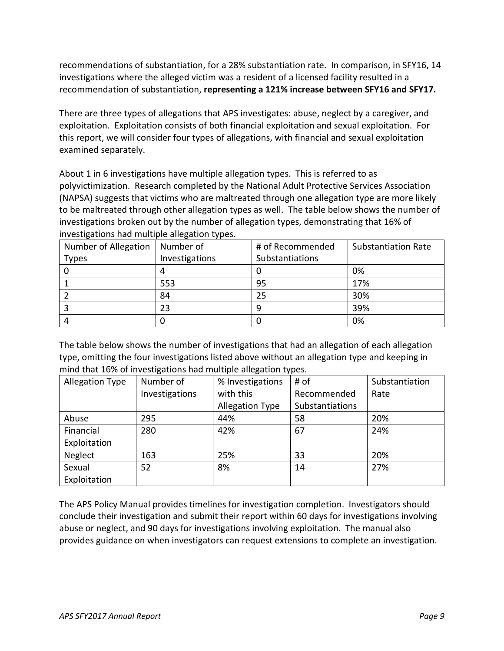recommendations of substantiation, for a 28% substantiation rate. In comparison, in SFY16, 14 investigations where the alleged victim was a resident of a licensed facility resulted in a recommendation of substantiation, **representing a 121% increase between SFY16 and SFY17.**

There are three types of allegations that APS investigates: abuse, neglect by a caregiver, and exploitation. Exploitation consists of both financial exploitation and sexual exploitation. For this report, we will consider four types of allegations, with financial and sexual exploitation examined separately.

About 1 in 6 investigations have multiple allegation types. This is referred to as polyvictimization. Research completed by the National Adult Protective Services Association (NAPSA) suggests that victims who are maltreated through one allegation type are more likely to be maltreated through other allegation types as well. The table below shows the number of investigations broken out by the number of allegation types, demonstrating that 16% of investigations had multiple allegation types.

| Number of Allegation | Number of      | # of Recommended | <b>Substantiation Rate</b> |
|----------------------|----------------|------------------|----------------------------|
| <b>Types</b>         | Investigations | Substantiations  |                            |
|                      |                |                  | 0%                         |
|                      | 553            | 95               | 17%                        |
|                      | 84             | 25               | 30%                        |
|                      | 23             | 9                | 39%                        |
|                      |                |                  | 0%                         |

The table below shows the number of investigations that had an allegation of each allegation type, omitting the four investigations listed above without an allegation type and keeping in mind that 16% of investigations had multiple allegation types.

| <b>Allegation Type</b> | ີ<br>Number of | ີ<br>% Investigations  | . .<br># of     | Substantiation |
|------------------------|----------------|------------------------|-----------------|----------------|
|                        | Investigations | with this              | Recommended     | Rate           |
|                        |                | <b>Allegation Type</b> | Substantiations |                |
| Abuse                  | 295            | 44%                    | 58              | 20%            |
| Financial              | 280            | 42%                    | 67              | 24%            |
| Exploitation           |                |                        |                 |                |
| Neglect                | 163            | 25%                    | 33              | 20%            |
| Sexual                 | 52             | 8%                     | 14              | 27%            |
| Exploitation           |                |                        |                 |                |

The APS Policy Manual provides timelines for investigation completion. Investigators should conclude their investigation and submit their report within 60 days for investigations involving abuse or neglect, and 90 days for investigations involving exploitation. The manual also provides guidance on when investigators can request extensions to complete an investigation.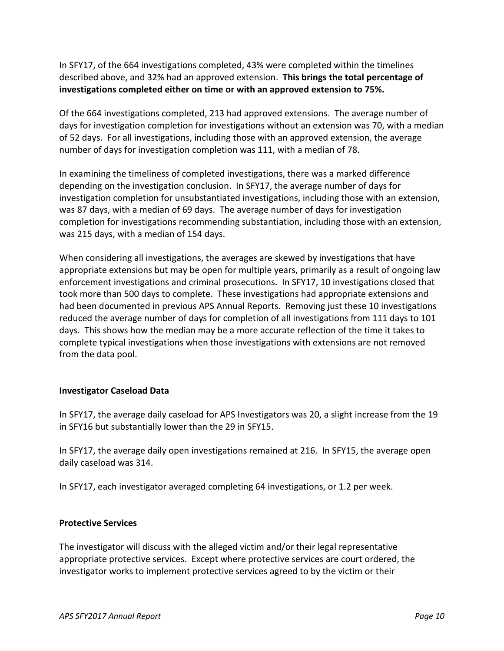In SFY17, of the 664 investigations completed, 43% were completed within the timelines described above, and 32% had an approved extension. **This brings the total percentage of investigations completed either on time or with an approved extension to 75%.**

Of the 664 investigations completed, 213 had approved extensions. The average number of days for investigation completion for investigations without an extension was 70, with a median of 52 days. For all investigations, including those with an approved extension, the average number of days for investigation completion was 111, with a median of 78.

In examining the timeliness of completed investigations, there was a marked difference depending on the investigation conclusion. In SFY17, the average number of days for investigation completion for unsubstantiated investigations, including those with an extension, was 87 days, with a median of 69 days. The average number of days for investigation completion for investigations recommending substantiation, including those with an extension, was 215 days, with a median of 154 days.

When considering all investigations, the averages are skewed by investigations that have appropriate extensions but may be open for multiple years, primarily as a result of ongoing law enforcement investigations and criminal prosecutions. In SFY17, 10 investigations closed that took more than 500 days to complete. These investigations had appropriate extensions and had been documented in previous APS Annual Reports. Removing just these 10 investigations reduced the average number of days for completion of all investigations from 111 days to 101 days. This shows how the median may be a more accurate reflection of the time it takes to complete typical investigations when those investigations with extensions are not removed from the data pool.

#### **Investigator Caseload Data**

In SFY17, the average daily caseload for APS Investigators was 20, a slight increase from the 19 in SFY16 but substantially lower than the 29 in SFY15.

In SFY17, the average daily open investigations remained at 216. In SFY15, the average open daily caseload was 314.

In SFY17, each investigator averaged completing 64 investigations, or 1.2 per week.

#### **Protective Services**

The investigator will discuss with the alleged victim and/or their legal representative appropriate protective services. Except where protective services are court ordered, the investigator works to implement protective services agreed to by the victim or their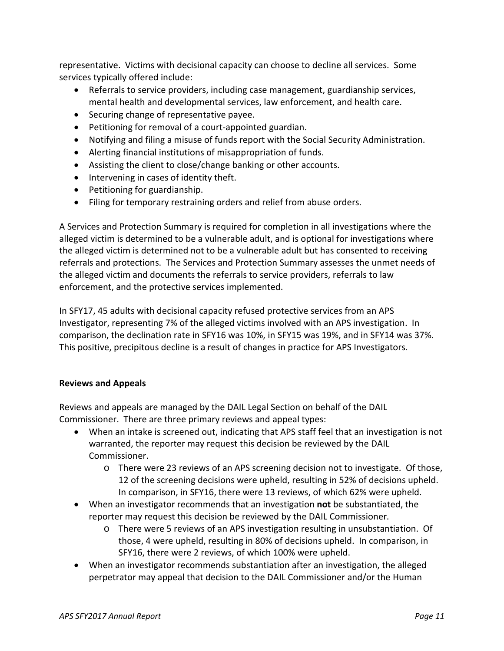representative. Victims with decisional capacity can choose to decline all services. Some services typically offered include:

- Referrals to service providers, including case management, guardianship services, mental health and developmental services, law enforcement, and health care.
- Securing change of representative payee.
- Petitioning for removal of a court-appointed guardian.
- Notifying and filing a misuse of funds report with the Social Security Administration.
- Alerting financial institutions of misappropriation of funds.
- Assisting the client to close/change banking or other accounts.
- Intervening in cases of identity theft.
- Petitioning for guardianship.
- Filing for temporary restraining orders and relief from abuse orders.

A Services and Protection Summary is required for completion in all investigations where the alleged victim is determined to be a vulnerable adult, and is optional for investigations where the alleged victim is determined not to be a vulnerable adult but has consented to receiving referrals and protections. The Services and Protection Summary assesses the unmet needs of the alleged victim and documents the referrals to service providers, referrals to law enforcement, and the protective services implemented.

In SFY17, 45 adults with decisional capacity refused protective services from an APS Investigator, representing 7% of the alleged victims involved with an APS investigation. In comparison, the declination rate in SFY16 was 10%, in SFY15 was 19%, and in SFY14 was 37%. This positive, precipitous decline is a result of changes in practice for APS Investigators.

#### **Reviews and Appeals**

Reviews and appeals are managed by the DAIL Legal Section on behalf of the DAIL Commissioner. There are three primary reviews and appeal types:

- When an intake is screened out, indicating that APS staff feel that an investigation is not warranted, the reporter may request this decision be reviewed by the DAIL Commissioner.
	- o There were 23 reviews of an APS screening decision not to investigate. Of those, 12 of the screening decisions were upheld, resulting in 52% of decisions upheld. In comparison, in SFY16, there were 13 reviews, of which 62% were upheld.
- When an investigator recommends that an investigation **not** be substantiated, the reporter may request this decision be reviewed by the DAIL Commissioner.
	- o There were 5 reviews of an APS investigation resulting in unsubstantiation. Of those, 4 were upheld, resulting in 80% of decisions upheld. In comparison, in SFY16, there were 2 reviews, of which 100% were upheld.
- When an investigator recommends substantiation after an investigation, the alleged perpetrator may appeal that decision to the DAIL Commissioner and/or the Human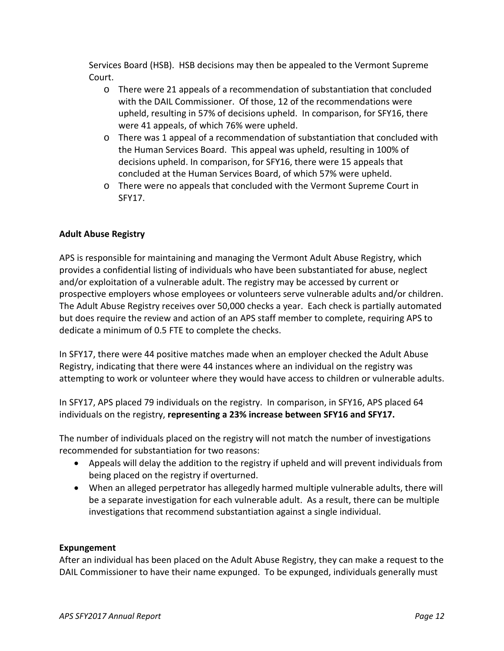Services Board (HSB). HSB decisions may then be appealed to the Vermont Supreme Court.

- o There were 21 appeals of a recommendation of substantiation that concluded with the DAIL Commissioner. Of those, 12 of the recommendations were upheld, resulting in 57% of decisions upheld. In comparison, for SFY16, there were 41 appeals, of which 76% were upheld.
- o There was 1 appeal of a recommendation of substantiation that concluded with the Human Services Board. This appeal was upheld, resulting in 100% of decisions upheld. In comparison, for SFY16, there were 15 appeals that concluded at the Human Services Board, of which 57% were upheld.
- o There were no appeals that concluded with the Vermont Supreme Court in SFY17.

#### **Adult Abuse Registry**

APS is responsible for maintaining and managing the Vermont Adult Abuse Registry, which provides a confidential listing of individuals who have been substantiated for abuse, neglect and/or exploitation of a vulnerable adult. The registry may be accessed by current or prospective employers whose employees or volunteers serve vulnerable adults and/or children. The Adult Abuse Registry receives over 50,000 checks a year. Each check is partially automated but does require the review and action of an APS staff member to complete, requiring APS to dedicate a minimum of 0.5 FTE to complete the checks.

In SFY17, there were 44 positive matches made when an employer checked the Adult Abuse Registry, indicating that there were 44 instances where an individual on the registry was attempting to work or volunteer where they would have access to children or vulnerable adults.

In SFY17, APS placed 79 individuals on the registry. In comparison, in SFY16, APS placed 64 individuals on the registry, **representing a 23% increase between SFY16 and SFY17.**

The number of individuals placed on the registry will not match the number of investigations recommended for substantiation for two reasons:

- Appeals will delay the addition to the registry if upheld and will prevent individuals from being placed on the registry if overturned.
- When an alleged perpetrator has allegedly harmed multiple vulnerable adults, there will be a separate investigation for each vulnerable adult. As a result, there can be multiple investigations that recommend substantiation against a single individual.

#### **Expungement**

After an individual has been placed on the Adult Abuse Registry, they can make a request to the DAIL Commissioner to have their name expunged. To be expunged, individuals generally must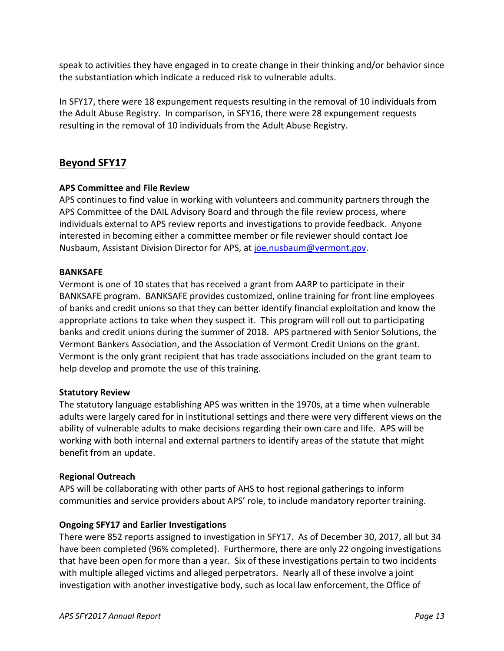speak to activities they have engaged in to create change in their thinking and/or behavior since the substantiation which indicate a reduced risk to vulnerable adults.

In SFY17, there were 18 expungement requests resulting in the removal of 10 individuals from the Adult Abuse Registry. In comparison, in SFY16, there were 28 expungement requests resulting in the removal of 10 individuals from the Adult Abuse Registry.

### **Beyond SFY17**

#### **APS Committee and File Review**

APS continues to find value in working with volunteers and community partners through the APS Committee of the DAIL Advisory Board and through the file review process, where individuals external to APS review reports and investigations to provide feedback. Anyone interested in becoming either a committee member or file reviewer should contact Joe Nusbaum, Assistant Division Director for APS, at [joe.nusbaum@vermont.gov.](mailto:joe.nusbaum@vermont.gov)

#### **BANKSAFE**

Vermont is one of 10 states that has received a grant from AARP to participate in their BANKSAFE program. BANKSAFE provides customized, online training for front line employees of banks and credit unions so that they can better identify financial exploitation and know the appropriate actions to take when they suspect it. This program will roll out to participating banks and credit unions during the summer of 2018. APS partnered with Senior Solutions, the Vermont Bankers Association, and the Association of Vermont Credit Unions on the grant. Vermont is the only grant recipient that has trade associations included on the grant team to help develop and promote the use of this training.

#### **Statutory Review**

The statutory language establishing APS was written in the 1970s, at a time when vulnerable adults were largely cared for in institutional settings and there were very different views on the ability of vulnerable adults to make decisions regarding their own care and life. APS will be working with both internal and external partners to identify areas of the statute that might benefit from an update.

#### **Regional Outreach**

APS will be collaborating with other parts of AHS to host regional gatherings to inform communities and service providers about APS' role, to include mandatory reporter training.

#### **Ongoing SFY17 and Earlier Investigations**

There were 852 reports assigned to investigation in SFY17. As of December 30, 2017, all but 34 have been completed (96% completed). Furthermore, there are only 22 ongoing investigations that have been open for more than a year. Six of these investigations pertain to two incidents with multiple alleged victims and alleged perpetrators. Nearly all of these involve a joint investigation with another investigative body, such as local law enforcement, the Office of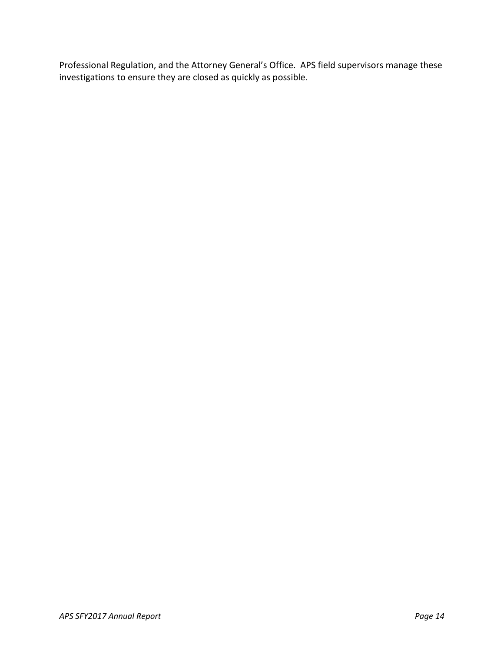Professional Regulation, and the Attorney General's Office. APS field supervisors manage these investigations to ensure they are closed as quickly as possible.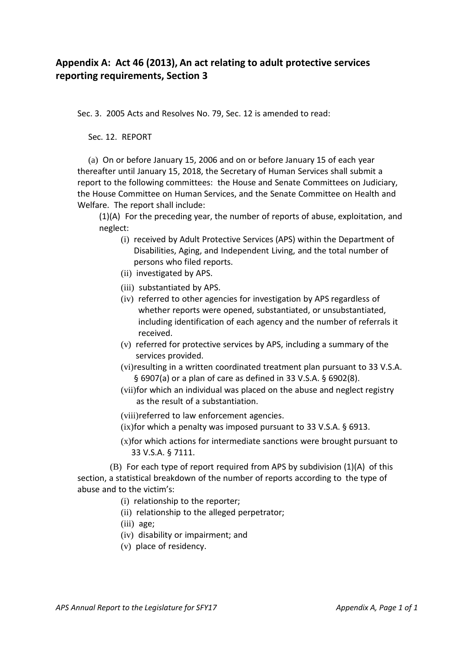# **Appendix A: Act 46 (2013), An act relating to adult protective services reporting requirements, Section 3**

Sec. 3. 2005 Acts and Resolves No. 79, Sec. 12 is amended to read:

Sec. 12. REPORT

(a) On or before January 15, 2006 and on or before January 15 of each year thereafter until January 15, 2018, the Secretary of Human Services shall submit a report to the following committees: the House and Senate Committees on Judiciary, the House Committee on Human Services, and the Senate Committee on Health and Welfare. The report shall include:

(1)(A) For the preceding year, the number of reports of abuse, exploitation, and neglect:

- (i) received by Adult Protective Services (APS) within the Department of Disabilities, Aging, and Independent Living, and the total number of persons who filed reports.
- (ii) investigated by APS.
- (iii) substantiated by APS.
- (iv) referred to other agencies for investigation by APS regardless of whether reports were opened, substantiated, or unsubstantiated, including identification of each agency and the number of referrals it received.
- (v) referred for protective services by APS, including a summary of the services provided.
- (vi)resulting in a written coordinated treatment plan pursuant to 33 V.S.A. § 6907(a) or a plan of care as defined in 33 V.S.A. § 6902(8).
- (vii)for which an individual was placed on the abuse and neglect registry as the result of a substantiation.

(viii)referred to law enforcement agencies.

- (ix)for which a penalty was imposed pursuant to 33 V.S.A. § 6913.
- (x)for which actions for intermediate sanctions were brought pursuant to 33 V.S.A. § 7111.

(B) For each type of report required from APS by subdivision (1)(A) of this section, a statistical breakdown of the number of reports according to the type of abuse and to the victim's:

- (i) relationship to the reporter;
- (ii) relationship to the alleged perpetrator;
- (iii) age;
- (iv) disability or impairment; and
- (v) place of residency.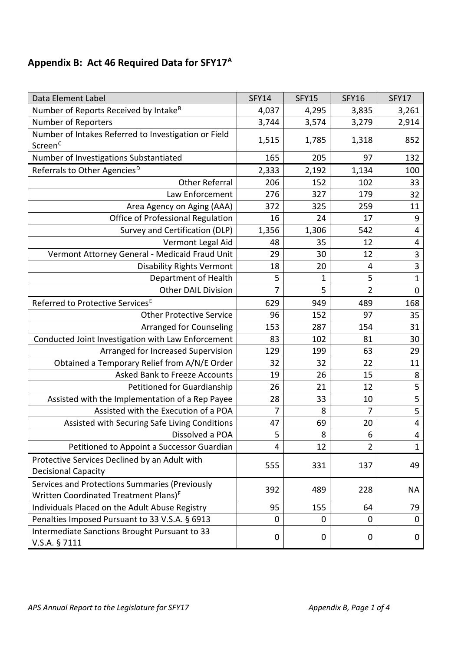# **Appendix B: Act 46 Required Data for SFY17[A](#page-19-0)**

| Data Element Label                                             | <b>SFY14</b>   | <b>SFY15</b> | <b>SFY16</b>   | SFY17                   |
|----------------------------------------------------------------|----------------|--------------|----------------|-------------------------|
| Number of Reports Received by Intake <sup>B</sup>              | 4,037          | 4,295        | 3,835          | 3,261                   |
| Number of Reporters                                            | 3,744          | 3,574        | 3,279          | 2,914                   |
| Number of Intakes Referred to Investigation or Field           | 1,515          | 1,785        | 1,318          | 852                     |
| Screen <sup>c</sup>                                            |                |              |                |                         |
| Number of Investigations Substantiated                         | 165            | 205          | 97             | 132                     |
| Referrals to Other Agencies <sup>D</sup>                       | 2,333          | 2,192        | 1,134          | 100                     |
| <b>Other Referral</b>                                          | 206            | 152          | 102            | 33                      |
| Law Enforcement                                                | 276            | 327          | 179            | 32                      |
| Area Agency on Aging (AAA)                                     | 372            | 325          | 259            | 11                      |
| Office of Professional Regulation                              | 16             | 24           | 17             | 9                       |
| Survey and Certification (DLP)                                 | 1,356          | 1,306        | 542            | 4                       |
| Vermont Legal Aid                                              | 48             | 35           | 12             | 4                       |
| Vermont Attorney General - Medicaid Fraud Unit                 | 29             | 30           | 12             | 3                       |
| <b>Disability Rights Vermont</b>                               | 18             | 20           | 4              | 3                       |
| Department of Health                                           | 5              | $\mathbf{1}$ | 5              | $\mathbf{1}$            |
| <b>Other DAIL Division</b>                                     | $\overline{7}$ | 5            | $\overline{2}$ | $\mathbf 0$             |
| Referred to Protective Services <sup>E</sup>                   | 629            | 949          | 489            | 168                     |
| <b>Other Protective Service</b>                                | 96             | 152          | 97             | 35                      |
| Arranged for Counseling                                        | 153            | 287          | 154            | 31                      |
| Conducted Joint Investigation with Law Enforcement             | 83             | 102          | 81             | 30                      |
| Arranged for Increased Supervision                             | 129            | 199          | 63             | 29                      |
| Obtained a Temporary Relief from A/N/E Order                   | 32             | 32           | 22             | 11                      |
| <b>Asked Bank to Freeze Accounts</b>                           | 19             | 26           | 15             | 8                       |
| Petitioned for Guardianship                                    | 26             | 21           | 12             | 5                       |
| Assisted with the Implementation of a Rep Payee                | 28             | 33           | 10             | 5                       |
| Assisted with the Execution of a POA                           | 7              | 8            | 7              | 5                       |
| Assisted with Securing Safe Living Conditions                  | 47             | 69           | 20             | $\overline{\mathbf{4}}$ |
| Dissolved a POA                                                | 5              | 8            | 6              | $\overline{4}$          |
| Petitioned to Appoint a Successor Guardian                     | 4              | 12           | $\overline{2}$ | $\mathbf{1}$            |
| Protective Services Declined by an Adult with                  |                |              |                |                         |
| <b>Decisional Capacity</b>                                     | 555            | 331          | 137            | 49                      |
| Services and Protections Summaries (Previously                 |                |              |                |                         |
| Written Coordinated Treatment Plans) <sup>F</sup>              | 392            | 489          | 228            | <b>NA</b>               |
| Individuals Placed on the Adult Abuse Registry                 | 95             | 155          | 64             | 79                      |
| Penalties Imposed Pursuant to 33 V.S.A. § 6913                 | $\mathbf 0$    | 0            | 0              | $\mathbf 0$             |
| Intermediate Sanctions Brought Pursuant to 33<br>V.S.A. § 7111 | $\mathbf 0$    | 0            | 0              | 0                       |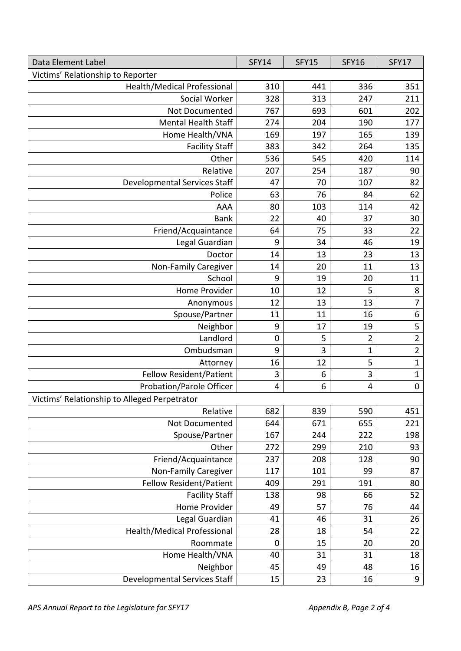| Data Element Label                           | <b>SFY14</b> | <b>SFY15</b> | <b>SFY16</b>   | <b>SFY17</b>     |
|----------------------------------------------|--------------|--------------|----------------|------------------|
| Victims' Relationship to Reporter            |              |              |                |                  |
| Health/Medical Professional                  | 310          | 441          | 336            | 351              |
| Social Worker                                | 328          | 313          | 247            | 211              |
| Not Documented                               | 767          | 693          | 601            | 202              |
| <b>Mental Health Staff</b>                   | 274          | 204          | 190            | 177              |
| Home Health/VNA                              | 169          | 197          | 165            | 139              |
| <b>Facility Staff</b>                        | 383          | 342          | 264            | 135              |
| Other                                        | 536          | 545          | 420            | 114              |
| Relative                                     | 207          | 254          | 187            | 90               |
| Developmental Services Staff                 | 47           | 70           | 107            | 82               |
| Police                                       | 63           | 76           | 84             | 62               |
| AAA                                          | 80           | 103          | 114            | 42               |
| <b>Bank</b>                                  | 22           | 40           | 37             | 30               |
| Friend/Acquaintance                          | 64           | 75           | 33             | 22               |
| Legal Guardian                               | 9            | 34           | 46             | 19               |
| Doctor                                       | 14           | 13           | 23             | 13               |
| Non-Family Caregiver                         | 14           | 20           | 11             | 13               |
| School                                       | 9            | 19           | 20             | 11               |
| Home Provider                                | 10           | 12           | 5              | 8                |
| Anonymous                                    | 12           | 13           | 13             | $\overline{7}$   |
| Spouse/Partner                               | 11           | 11           | 16             | $\boldsymbol{6}$ |
| Neighbor                                     | 9            | 17           | 19             | 5                |
| Landlord                                     | $\mathbf 0$  | 5            | $\overline{2}$ | $\overline{2}$   |
| Ombudsman                                    | 9            | 3            | $\mathbf{1}$   | $\overline{2}$   |
| Attorney                                     | 16           | 12           | 5              | $\mathbf 1$      |
| <b>Fellow Resident/Patient</b>               | 3            | 6            | 3              | $\mathbf{1}$     |
| Probation/Parole Officer                     | 4            | 6            | $\overline{4}$ | $\mathbf 0$      |
| Victims' Relationship to Alleged Perpetrator |              |              |                |                  |
| Relative                                     | 682          | 839          | 590            | 451              |
| Not Documented                               | 644          | 671          | 655            | 221              |
| Spouse/Partner                               | 167          | 244          | 222            | 198              |
| Other                                        | 272          | 299          | 210            | 93               |
| Friend/Acquaintance                          | 237          | 208          | 128            | 90               |
| Non-Family Caregiver                         | 117          | 101          | 99             | 87               |
| <b>Fellow Resident/Patient</b>               | 409          | 291          | 191            | 80               |
| <b>Facility Staff</b>                        | 138          | 98           | 66             | 52               |
| Home Provider                                | 49           | 57           | 76             | 44               |
| Legal Guardian                               | 41           | 46           | 31             | 26               |
| <b>Health/Medical Professional</b>           | 28           | 18           | 54             | 22               |
| Roommate                                     | $\mathbf 0$  | 15           | 20             | 20               |
| Home Health/VNA                              | 40           | 31           | 31             | 18               |
| Neighbor                                     | 45           | 49           | 48             | 16               |
| Developmental Services Staff                 | 15           | 23           | 16             | $\boldsymbol{9}$ |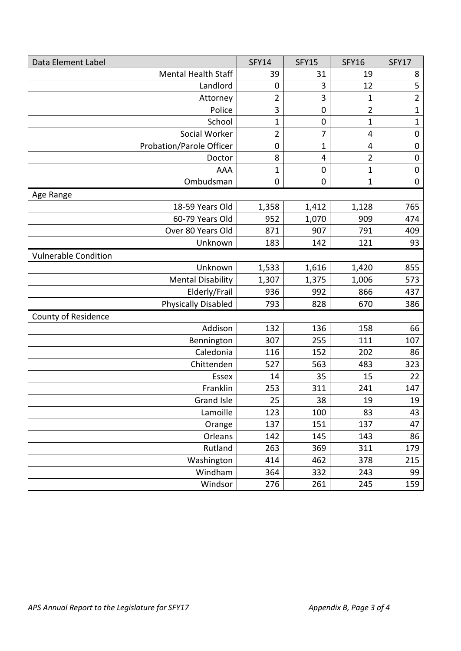| Data Element Label          | <b>SFY14</b>   | <b>SFY15</b>     | <b>SFY16</b>   | <b>SFY17</b>     |
|-----------------------------|----------------|------------------|----------------|------------------|
| <b>Mental Health Staff</b>  | 39             | 31               | 19             | 8                |
| Landlord                    | $\mathbf 0$    | 3                | 12             | 5                |
| Attorney                    | 2              | 3                | $\mathbf{1}$   | $\overline{2}$   |
| Police                      | 3              | $\mathbf 0$      | 2              | $\mathbf 1$      |
| School                      | $\mathbf{1}$   | $\boldsymbol{0}$ | $\mathbf{1}$   | $\mathbf{1}$     |
| Social Worker               | $\overline{2}$ | $\overline{7}$   | $\overline{4}$ | $\boldsymbol{0}$ |
| Probation/Parole Officer    | $\mathbf 0$    | $\mathbf{1}$     | 4              | $\mathbf 0$      |
| Doctor                      | 8              | 4                | 2              | $\mathbf 0$      |
| <b>AAA</b>                  | $\mathbf{1}$   | $\boldsymbol{0}$ | $\mathbf{1}$   | $\mathbf 0$      |
| Ombudsman                   | $\mathbf 0$    | $\boldsymbol{0}$ | $\mathbf{1}$   | $\mathbf 0$      |
| Age Range                   |                |                  |                |                  |
| 18-59 Years Old             | 1,358          | 1,412            | 1,128          | 765              |
| 60-79 Years Old             | 952            | 1,070            | 909            | 474              |
| Over 80 Years Old           | 871            | 907              | 791            | 409              |
| Unknown                     | 183            | 142              | 121            | 93               |
| <b>Vulnerable Condition</b> |                |                  |                |                  |
| Unknown                     | 1,533          | 1,616            | 1,420          | 855              |
| <b>Mental Disability</b>    | 1,307          | 1,375            | 1,006          | 573              |
| Elderly/Frail               | 936            | 992              | 866            | 437              |
| <b>Physically Disabled</b>  | 793            | 828              | 670            | 386              |
| County of Residence         |                |                  |                |                  |
| Addison                     | 132            | 136              | 158            | 66               |
| Bennington                  | 307            | 255              | 111            | 107              |
| Caledonia                   | 116            | 152              | 202            | 86               |
| Chittenden                  | 527            | 563              | 483            | 323              |
| Essex                       | 14             | 35               | 15             | 22               |
| Franklin                    | 253            | 311              | 241            | 147              |
| Grand Isle                  | 25             | 38               | 19             | 19               |
| Lamoille                    | 123            | 100              | 83             | 43               |
| Orange                      | 137            | 151              | 137            | 47               |
| Orleans                     | 142            | 145              | 143            | 86               |
| Rutland                     | 263            | 369              | 311            | 179              |
| Washington                  | 414            | 462              | 378            | 215              |
| Windham                     | 364            | 332              | 243            | 99               |
| Windsor                     | 276            | 261              | 245            | 159              |